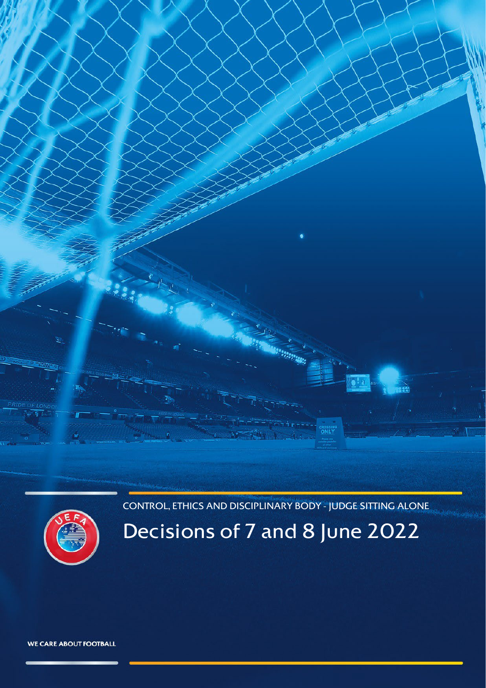CONTROL, ETHICS AND DISCIPLINARY BODY - JUDGE SITTING ALONE

<span id="page-0-0"></span>

Decisions of 7 and 8 June 2022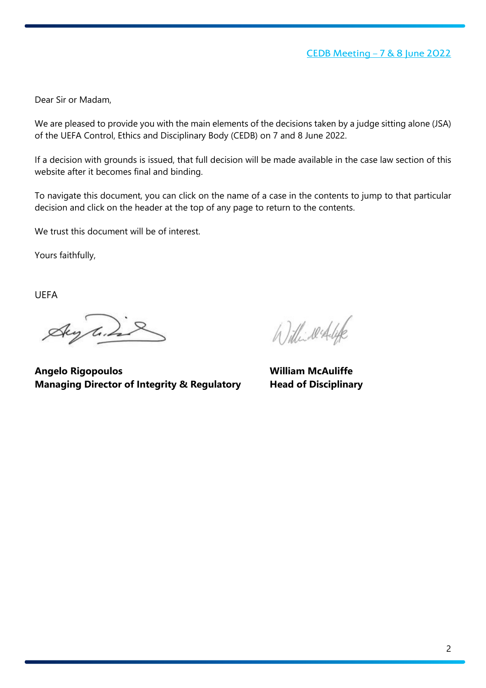Dear Sir or Madam,

We are pleased to provide you with the main elements of the decisions taken by a judge sitting alone (JSA) of the UEFA Control, Ethics and Disciplinary Body (CEDB) on 7 and 8 June 2022.

If a decision with grounds is issued, that full decision will be made available in the case law section of this website after it becomes final and binding.

To navigate this document, you can click on the name of a case in the contents to jump to that particular decision and click on the header at the top of any page to return to the contents.

We trust this document will be of interest.

Yours faithfully,

UEFA

Aug line

Williwerflife

**Angelo Rigopoulos William McAuliffe Managing Director of Integrity & Regulatory Head of Disciplinary**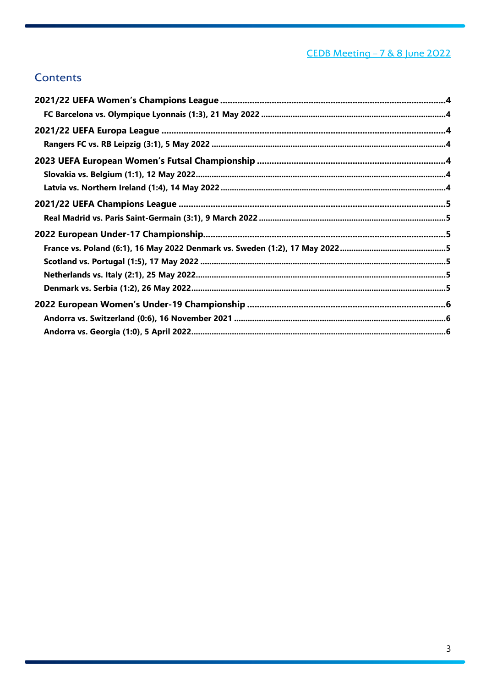# CEDB Meeting - 7 & 8 June 2022

# **Contents**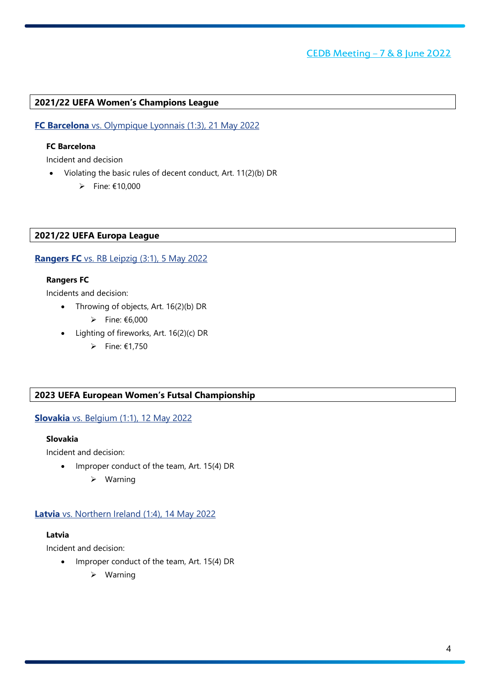# <span id="page-3-0"></span>**2021/22 UEFA Women's Champions League**

# <span id="page-3-1"></span>**FC Barcelona** vs. Olympique Lyonnais (1:3), 21 May 2022

# **FC Barcelona**

Incident and decision

- Violating the basic rules of decent conduct, Art. 11(2)(b) DR
	- $\rho$  Fine: €10,000

## <span id="page-3-2"></span>**2021/22 UEFA Europa League**

### <span id="page-3-3"></span>**Rangers FC** vs. RB Leipzig (3:1), 5 May 2022

#### **Rangers FC**

Incidents and decision:

- Throwing of objects, Art. 16(2)(b) DR
	- $\triangleright$  Fine: €6,000
- Lighting of fireworks, Art. 16(2)(c) DR
	- $\triangleright$  Fine: €1,750

#### <span id="page-3-4"></span>**2023 UEFA European Women's Futsal Championship**

#### <span id="page-3-5"></span>**Slovakia** vs. Belgium (1:1), 12 May 2022

#### **Slovakia**

Incident and decision:

- Improper conduct of the team, Art. 15(4) DR
	- $\triangleright$  Warning

#### <span id="page-3-6"></span>**Latvia** vs. Northern Ireland (1:4), 14 May 2022

### **Latvia**

Incident and decision:

- Improper conduct of the team, Art. 15(4) DR
	- $\triangleright$  Warning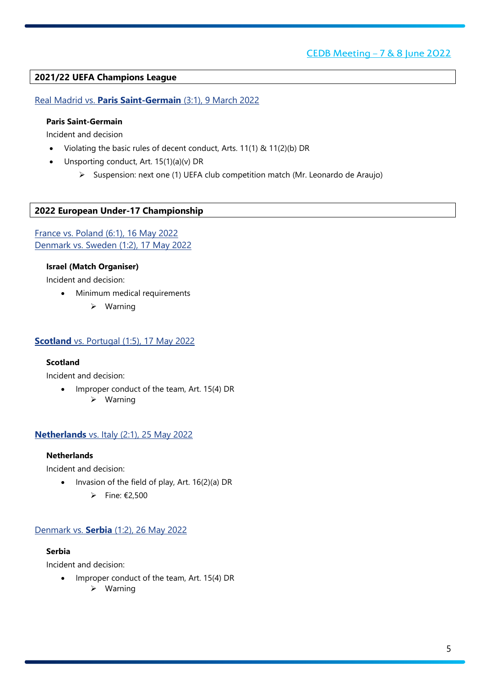# <span id="page-4-0"></span>**2021/22 UEFA Champions League**

## <span id="page-4-1"></span>Real Madrid vs. **Paris Saint-Germain** (3:1), 9 March 2022

## **Paris Saint-Germain**

Incident and decision

- Violating the basic rules of decent conduct, Arts. 11(1) & 11(2)(b) DR
- Unsporting conduct, Art. 15(1)(a)(v) DR
	- Suspension: next one (1) UEFA club competition match (Mr. Leonardo de Araujo)

# <span id="page-4-2"></span>**2022 European Under-17 Championship**

<span id="page-4-3"></span>France vs. Poland (6:1), 16 May 2022 Denmark vs. Sweden (1:2), 17 May 2022

### **Israel (Match Organiser)**

Incident and decision:

- Minimum medical requirements
	- Warning

#### <span id="page-4-4"></span>**Scotland** vs. Portugal (1:5), 17 May 2022

#### **Scotland**

Incident and decision:

• Improper conduct of the team, Art. 15(4) DR  $\triangleright$  Warning

# <span id="page-4-5"></span>**Netherlands** vs. Italy (2:1), 25 May 2022

### **Netherlands**

Incident and decision:

- Invasion of the field of play, Art. 16(2)(a) DR
	- $▶$  Fine: €2,500

#### <span id="page-4-6"></span>Denmark vs. **Serbia** (1:2), 26 May 2022

## **Serbia**

Incident and decision:

- Improper conduct of the team, Art. 15(4) DR
	- $\triangleright$  Warning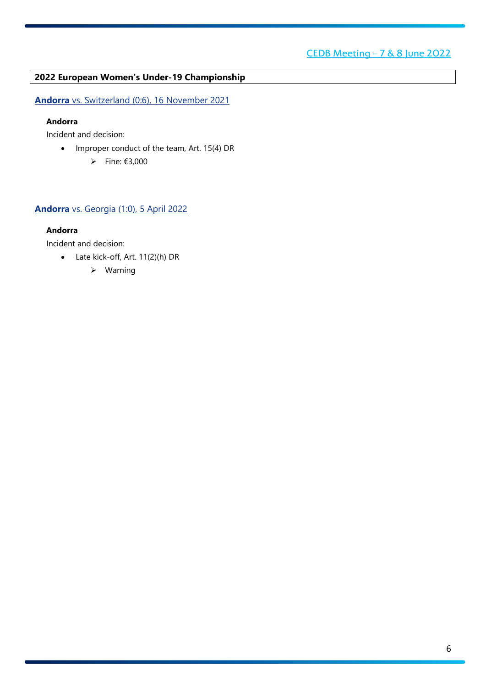# <span id="page-5-0"></span>**2022 European Women's Under-19 Championship**

<span id="page-5-1"></span>**Andorra** vs. Switzerland (0:6), 16 November 2021

## **Andorra**

Incident and decision:

- Improper conduct of the team, Art. 15(4) DR
	- $▶$  Fine: €3,000

# <span id="page-5-2"></span>**Andorra** vs. Georgia (1:0), 5 April 2022

## **Andorra**

Incident and decision:

- Late kick-off, Art. 11(2)(h) DR
	- Warning